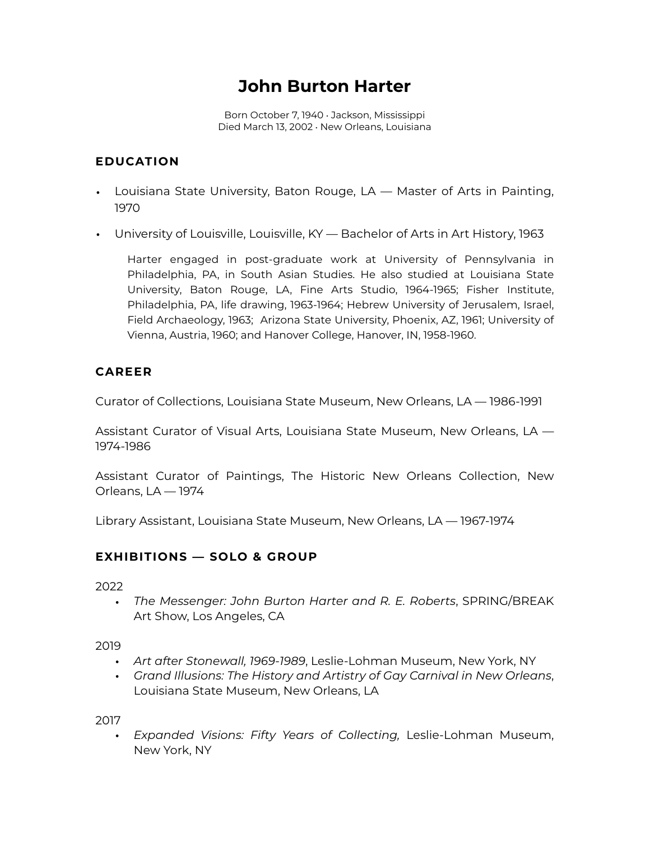# **John Burton Harter**

Born October 7, 1940 • Jackson, Mississippi Died March 13, 2002 • New Orleans, Louisiana

# **EDUCATION**

- Louisiana State University, Baton Rouge, LA Master of Arts in Painting, 1970
- University of Louisville, Louisville, KY Bachelor of Arts in Art History, 1963

Harter engaged in post-graduate work at University of Pennsylvania in Philadelphia, PA, in South Asian Studies. He also studied at Louisiana State University, Baton Rouge, LA, Fine Arts Studio, 1964-1965; Fisher Institute, Philadelphia, PA, life drawing, 1963-1964; Hebrew University of Jerusalem, Israel, Field Archaeology, 1963; Arizona State University, Phoenix, AZ, 1961; University of Vienna, Austria, 1960; and Hanover College, Hanover, IN, 1958-1960.

## **CAREER**

Curator of Collections, Louisiana State Museum, New Orleans, LA — 1986-1991

Assistant Curator of Visual Arts, Louisiana State Museum, New Orleans, LA — 1974-1986

Assistant Curator of Paintings, The Historic New Orleans Collection, New Orleans, LA — 1974

Library Assistant, Louisiana State Museum, New Orleans, LA — 1967-1974

# **EXHIBITIONS — SOLO & GROUP**

2022

• *The Messenger: John Burton Harter and R. E. Roberts*, SPRING/BREAK Art Show, Los Angeles, CA

2019

- *Art after Stonewall, 1969-1989*, Leslie-Lohman Museum, New York, NY
- *Grand Illusions: The History and Artistry of Gay Carnival in New Orleans*, Louisiana State Museum, New Orleans, LA

2017

• *Expanded Visions: Fifty Years of Collecting,* Leslie-Lohman Museum, New York, NY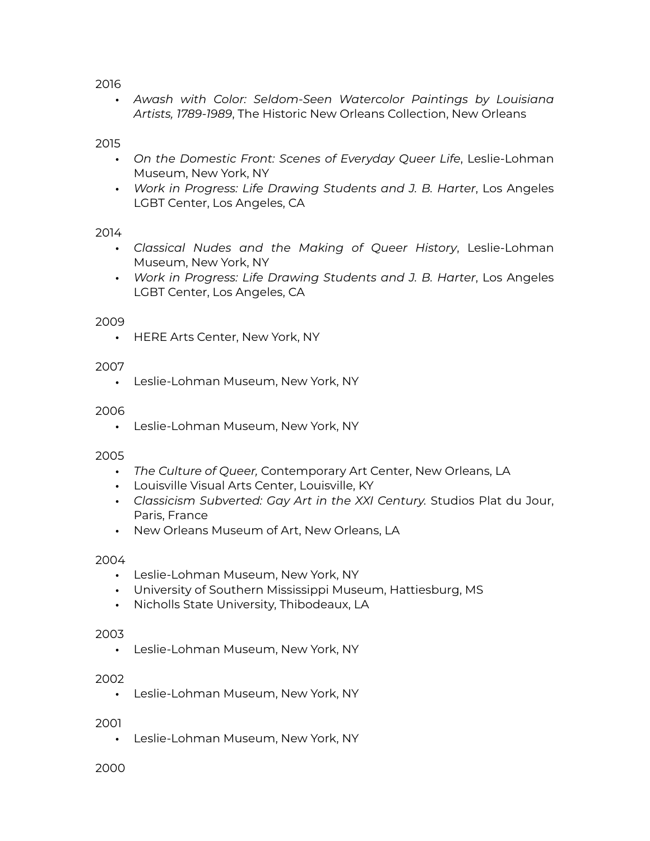2016

• *Awash with Color: Seldom-Seen Watercolor Paintings by Louisiana Artists, 1789-1989*, The Historic New Orleans Collection, New Orleans

2015

- *On the Domestic Front: Scenes of Everyday Queer Life*, Leslie-Lohman Museum, New York, NY
- *Work in Progress: Life Drawing Students and J. B. Harter*, Los Angeles LGBT Center, Los Angeles, CA

## 2014

- *Classical Nudes and the Making of Queer History*, Leslie-Lohman Museum, New York, NY
- *Work in Progress: Life Drawing Students and J. B. Harter*, Los Angeles LGBT Center, Los Angeles, CA

## 2009

• HERE Arts Center, New York, NY

## 2007

• Leslie-Lohman Museum, New York, NY

#### 2006

• Leslie-Lohman Museum, New York, NY

#### 2005

- *The Culture of Queer,* Contemporary Art Center, New Orleans, LA
- Louisville Visual Arts Center, Louisville, KY
- *Classicism Subverted: Gay Art in the XXI Century.* Studios Plat du Jour, Paris, France
- New Orleans Museum of Art, New Orleans, LA

#### 2004

- Leslie-Lohman Museum, New York, NY
- University of Southern Mississippi Museum, Hattiesburg, MS
- Nicholls State University, Thibodeaux, LA

#### 2003

• Leslie-Lohman Museum, New York, NY

#### 2002

• Leslie-Lohman Museum, New York, NY

#### 2001

• Leslie-Lohman Museum, New York, NY

#### 2000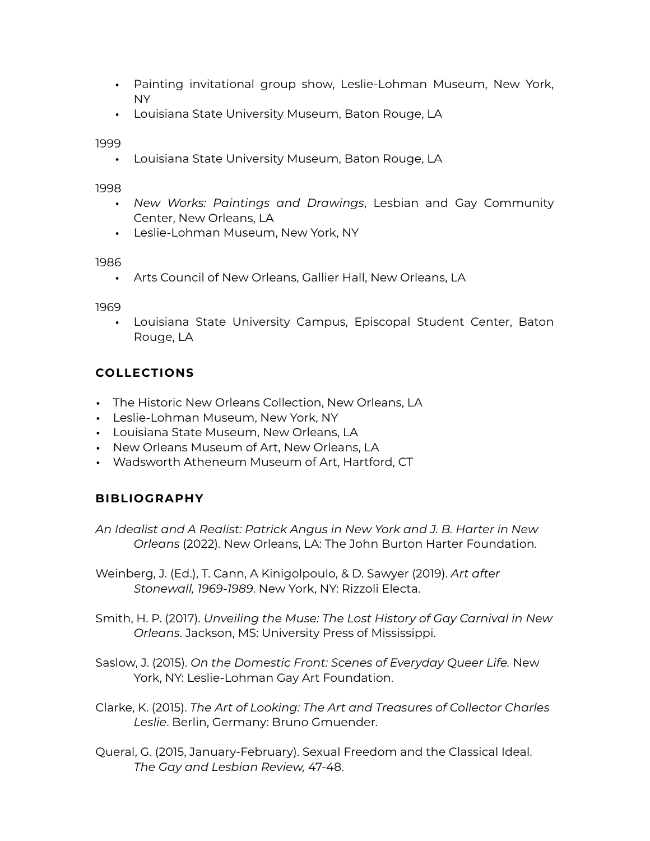- Painting invitational group show, Leslie-Lohman Museum, New York, NY
- Louisiana State University Museum, Baton Rouge, LA

1999

• Louisiana State University Museum, Baton Rouge, LA

1998

- *New Works: Paintings and Drawings*, Lesbian and Gay Community Center, New Orleans, LA
- Leslie-Lohman Museum, New York, NY

1986

• Arts Council of New Orleans, Gallier Hall, New Orleans, LA

1969

• Louisiana State University Campus, Episcopal Student Center, Baton Rouge, LA

# **COLLECTIONS**

- The Historic New Orleans Collection, New Orleans, LA
- Leslie-Lohman Museum, New York, NY
- Louisiana State Museum, New Orleans, LA
- New Orleans Museum of Art, New Orleans, LA
- Wadsworth Atheneum Museum of Art, Hartford, CT

## **BIBLIOGRAPHY**

*An Idealist and A Realist: Patrick Angus in New York and J. B. Harter in New Orleans* (2022). New Orleans, LA: The John Burton Harter Foundation.

Weinberg, J. (Ed.), T. Cann, A Kinigolpoulo, & D. Sawyer (2019). *Art after Stonewall, 1969-1989*. New York, NY: Rizzoli Electa.

- Smith, H. P. (2017). *Unveiling the Muse: The Lost History of Gay Carnival in New Orleans*. Jackson, MS: University Press of Mississippi.
- Saslow, J. (2015). *On the Domestic Front: Scenes of Everyday Queer Life.* New York, NY: Leslie-Lohman Gay Art Foundation.
- Clarke, K. (2015). *The Art of Looking: The Art and Treasures of Collector Charles Leslie*. Berlin, Germany: Bruno Gmuender.
- Queral, G. (2015, January-February). Sexual Freedom and the Classical Ideal. *The Gay and Lesbian Review,* 47-48.